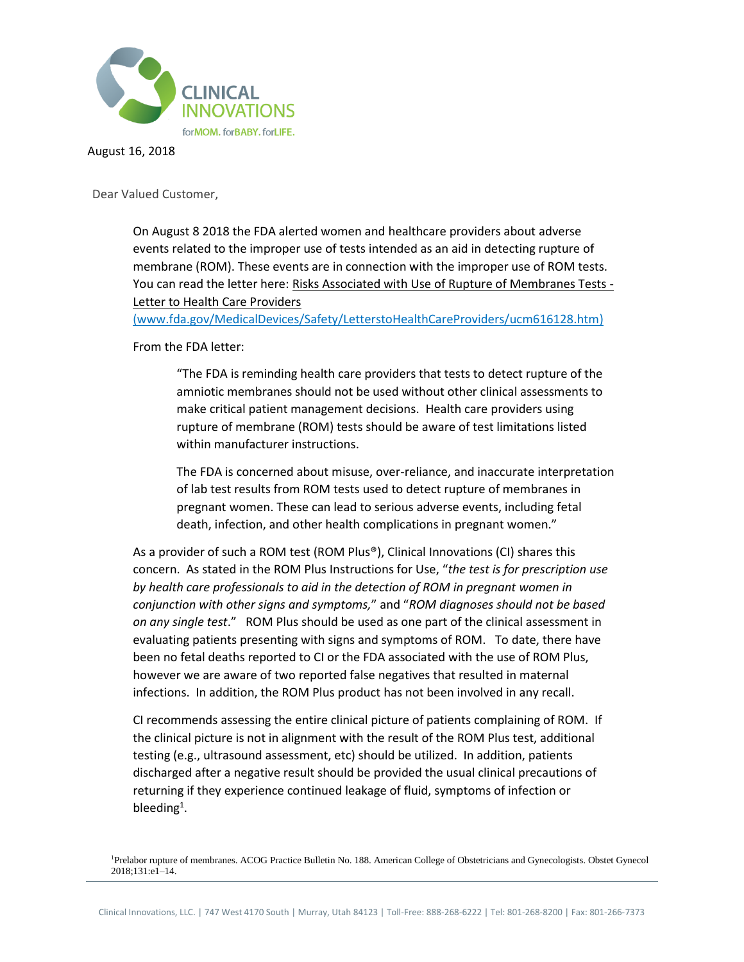

August 16, 2018

Dear Valued Customer,

On August 8 2018 the FDA alerted women and healthcare providers about adverse events related to the improper use of tests intended as an aid in detecting rupture of membrane (ROM). These events are in connection with the improper use of ROM tests. You can read the letter here: [Risks Associated with Use of Rupture of Membranes Tests -](https://www.fda.gov/MedicalDevices/Safety/LetterstoHealthCareProviders/ucm616128.htm) [Letter to Health Care Providers](https://www.fda.gov/MedicalDevices/Safety/LetterstoHealthCareProviders/ucm616128.htm)

(www.fda.gov/MedicalDevices/Safety/LetterstoHealthCareProviders/ucm616128.htm)

From the FDA letter:

"The FDA is reminding health care providers that tests to detect rupture of the amniotic membranes should not be used without other clinical assessments to make critical patient management decisions. Health care providers using rupture of membrane (ROM) tests should be aware of test limitations listed within manufacturer instructions.

The FDA is concerned about misuse, over-reliance, and inaccurate interpretation of lab test results from ROM tests used to detect rupture of membranes in pregnant women. These can lead to serious adverse events, including fetal death, infection, and other health complications in pregnant women."

As a provider of such a ROM test (ROM Plus®), Clinical Innovations (CI) shares this concern. As stated in the ROM Plus Instructions for Use, "*the test is for prescription use by health care professionals to aid in the detection of ROM in pregnant women in conjunction with other signs and symptoms,*" and "*ROM diagnoses should not be based on any single test*." ROM Plus should be used as one part of the clinical assessment in evaluating patients presenting with signs and symptoms of ROM. To date, there have been no fetal deaths reported to CI or the FDA associated with the use of ROM Plus, however we are aware of two reported false negatives that resulted in maternal infections. In addition, the ROM Plus product has not been involved in any recall.

CI recommends assessing the entire clinical picture of patients complaining of ROM. If the clinical picture is not in alignment with the result of the ROM Plus test, additional testing (e.g., ultrasound assessment, etc) should be utilized. In addition, patients discharged after a negative result should be provided the usual clinical precautions of returning if they experience continued leakage of fluid, symptoms of infection or bleeding<sup>1</sup>.

<sup>1</sup>Prelabor rupture of membranes. ACOG Practice Bulletin No. 188. American College of Obstetricians and Gynecologists. Obstet Gynecol 2018;131:e1–14.